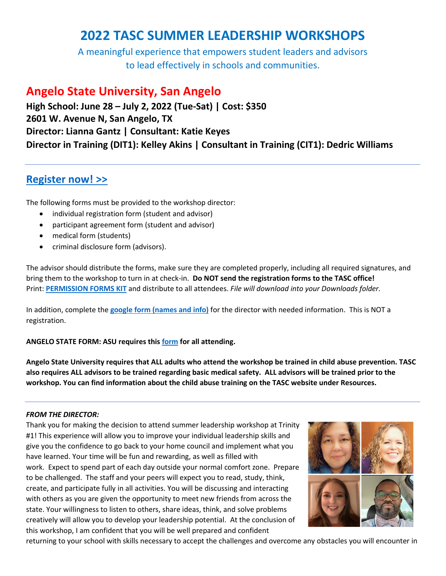# **2022 TASC SUMMER LEADERSHIP WORKSHOPS**

A meaningful experience that empowers student leaders and advisors to lead effectively in schools and communities.

## **Angelo State University, San Angelo**

**High School: June 28 – July 2, 2022 (Tue-Sat) | Cost: \$350 2601 W. Avenue N, San Angelo, TX Director: Lianna Gantz | Consultant: Katie Keyes Director in Training (DIT1): Kelley Akins | Consultant in Training (CIT1): Dedric Williams**

## **[Register now!](https://tasc.memberclicks.net/index.php?option=com_mcform&view=ngforms&id=2119506) >>**

The following forms must be provided to the workshop director:

- individual registration form (student and advisor)
- participant agreement form (student and advisor)
- medical form (students)
- criminal disclosure form (advisors).

The advisor should distribute the forms, make sure they are completed properly, including all required signatures, and bring them to the workshop to turn in at check-in. **Do NOT send the registration forms to the TASC office!** Print: **[PERMISSION FORMS KIT](https://www.tasconline.org/assets/SUMMER_LEADERSHIP_WORKSHOPS/2022_SLW_FORM_KIT_ONSITE.docx)** and distribute to all attendees. *File will download into your Downloads folder.*

In addition, complete the **[google form \(names and info\)](https://docs.google.com/forms/d/e/1FAIpQLSdUpO_McDtGE5K31LHHCITbPabiiyBhWe20sVK9RtbxaADvLA/viewform)** for the director with needed information. This is NOT a registration.

**ANGELO STATE FORM: ASU requires this [form](https://drive.google.com/file/d/1Q6HLseJ82aPOeM3lFo5r-GcmuAqOPYfb/view?usp=sharing) for all attending.** 

Angelo State University requires that ALL adults who attend the workshop be trained in child abuse prevention. TASC also requires ALL advisors to be trained regarding basic medical safety. ALL advisors will be trained prior to the **workshop. You can find information about the child abuse training on the TASC website under Resources.**

## *FROM THE DIRECTOR:*

Thank you for making the decision to attend summer leadership workshop at Trinity #1! This experience will allow you to improve your individual leadership skills and give you the confidence to go back to your home council and implement what you have learned. Your time will be fun and rewarding, as well as filled with work. Expect to spend part of each day outside your normal comfort zone. Prepare to be challenged. The staff and your peers will expect you to read, study, think, create, and participate fully in all activities. You will be discussing and interacting with others as you are given the opportunity to meet new friends from across the state. Your willingness to listen to others, share ideas, think, and solve problems creatively will allow you to develop your leadership potential. At the conclusion of this workshop, I am confident that you will be well prepared and confident



returning to your school with skills necessary to accept the challenges and overcome any obstacles you will encounter in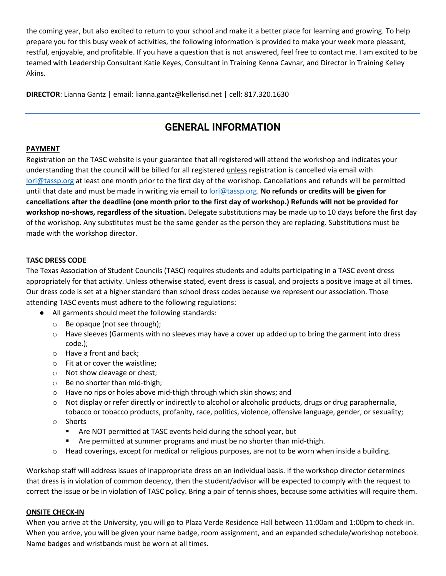the coming year, but also excited to return to your school and make it a better place for learning and growing. To help prepare you for this busy week of activities, the following information is provided to make your week more pleasant, restful, enjoyable, and profitable. If you have a question that is not answered, feel free to contact me. I am excited to be teamed with Leadership Consultant Katie Keyes, Consultant in Training Kenna Cavnar, and Director in Training Kelley Akins.

**DIRECTOR**: Lianna Gantz | email[: lianna.gantz@kellerisd.net](mailto:lianna.gantz@kellerisd.net) | cell: 817.320.1630

## **GENERAL INFORMATION**

## **PAYMENT**

Registration on the TASC website is your guarantee that all registered will attend the workshop and indicates your understanding that the council will be billed for all registered unless registration is cancelled via email with [lori@tassp.org](mailto:lori@tassp.org) at least one month prior to the first day of the workshop. Cancellations and refunds will be permitted until that date and must be made in writing via email to [lori@tassp.org.](mailto:lori@tassp.org) **No refunds or credits will be given for cancellations after the deadline (one month prior to the first day of workshop.) Refunds will not be provided for workshop no-shows, regardless of the situation.** Delegate substitutions may be made up to 10 days before the first day of the workshop. Any substitutes must be the same gender as the person they are replacing. Substitutions must be made with the workshop director.

## **TASC DRESS CODE**

The Texas Association of Student Councils (TASC) requires students and adults participating in a TASC event dress appropriately for that activity. Unless otherwise stated, event dress is casual, and projects a positive image at all times. Our dress code is set at a higher standard than school dress codes because we represent our association. Those attending TASC events must adhere to the following regulations:

- All garments should meet the following standards:
	- o Be opaque (not see through);
	- $\circ$  Have sleeves (Garments with no sleeves may have a cover up added up to bring the garment into dress code.);
	- o Have a front and back;
	- o Fit at or cover the waistline;
	- o Not show cleavage or chest;
	- o Be no shorter than mid-thigh;
	- o Have no rips or holes above mid-thigh through which skin shows; and
	- o Not display or refer directly or indirectly to alcohol or alcoholic products, drugs or drug paraphernalia, tobacco or tobacco products, profanity, race, politics, violence, offensive language, gender, or sexuality;
	- o Shorts
		- Are NOT permitted at TASC events held during the school year, but
		- Are permitted at summer programs and must be no shorter than mid-thigh.
	- $\circ$  Head coverings, except for medical or religious purposes, are not to be worn when inside a building.

Workshop staff will address issues of inappropriate dress on an individual basis. If the workshop director determines that dress is in violation of common decency, then the student/advisor will be expected to comply with the request to correct the issue or be in violation of TASC policy. Bring a pair of tennis shoes, because some activities will require them.

## **ONSITE CHECK-IN**

When you arrive at the University, you will go to Plaza Verde Residence Hall between 11:00am and 1:00pm to check-in. When you arrive, you will be given your name badge, room assignment, and an expanded schedule/workshop notebook. Name badges and wristbands must be worn at all times.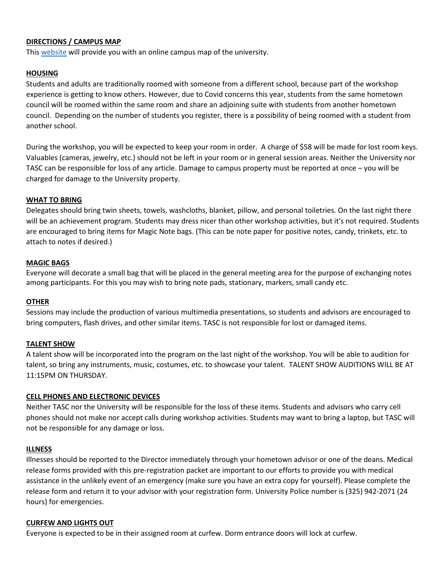## **DIRECTIONS / CAMPUS MAP**

This [website](https://www.angelo.edu/map/) will provide you with an online campus map of the university.

## **HOUSING**

Students and adults are traditionally roomed with someone from a different school, because part of the workshop experience is getting to know others. However, due to Covid concerns this year, students from the same hometown council will be roomed within the same room and share an adjoining suite with students from another hometown council. Depending on the number of students you register, there is a possibility of being roomed with a student from another school.

During the workshop, you will be expected to keep your room in order. A charge of \$58 will be made for lost room keys. Valuables (cameras, jewelry, etc.) should not be left in your room or in general session areas. Neither the University nor TASC can be responsible for loss of any article. Damage to campus property must be reported at once – you will be charged for damage to the University property.

### **WHAT TO BRING**

Delegates should bring twin sheets, towels, washcloths, blanket, pillow, and personal toiletries. On the last night there will be an achievement program. Students may dress nicer than other workshop activities, but it's not required. Students are encouraged to bring items for Magic Note bags. (This can be note paper for positive notes, candy, trinkets, etc. to attach to notes if desired.)

#### **MAGIC BAGS**

Everyone will decorate a small bag that will be placed in the general meeting area for the purpose of exchanging notes among participants. For this you may wish to bring note pads, stationary, markers, small candy etc.

#### **OTHER**

Sessions may include the production of various multimedia presentations, so students and advisors are encouraged to bring computers, flash drives, and other similar items. TASC is not responsible for lost or damaged items.

#### **TALENT SHOW**

A talent show will be incorporated into the program on the last night of the workshop. You will be able to audition for talent, so bring any instruments, music, costumes, etc. to showcase your talent. TALENT SHOW AUDITIONS WILL BE AT 11:15PM ON THURSDAY.

#### **CELL PHONES AND ELECTRONIC DEVICES**

Neither TASC nor the University will be responsible for the loss of these items. Students and advisors who carry cell phones should not make nor accept calls during workshop activities. Students may want to bring a laptop, but TASC will not be responsible for any damage or loss.

#### **ILLNESS**

Illnesses should be reported to the Director immediately through your hometown advisor or one of the deans. Medical release forms provided with this pre-registration packet are important to our efforts to provide you with medical assistance in the unlikely event of an emergency (make sure you have an extra copy for yourself). Please complete the release form and return it to your advisor with your registration form. University Police number is (325) 942-2071 (24 hours) for emergencies.

#### **CURFEW AND LIGHTS OUT**

Everyone is expected to be in their assigned room at curfew. Dorm entrance doors will lock at curfew.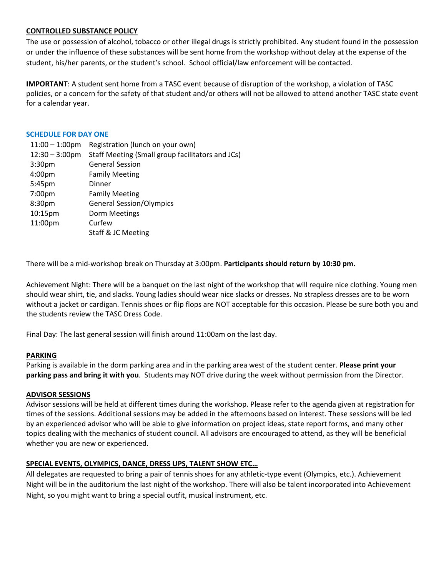### **CONTROLLED SUBSTANCE POLICY**

The use or possession of alcohol, tobacco or other illegal drugs is strictly prohibited. Any student found in the possession or under the influence of these substances will be sent home from the workshop without delay at the expense of the student, his/her parents, or the student's school. School official/law enforcement will be contacted.

**IMPORTANT**: A student sent home from a TASC event because of disruption of the workshop, a violation of TASC policies, or a concern for the safety of that student and/or others will not be allowed to attend another TASC state event for a calendar year.

#### **SCHEDULE FOR DAY ONE**

| $11:00 - 1:00$ pm        | Registration (lunch on your own)                 |
|--------------------------|--------------------------------------------------|
| $12:30 - 3:00 \text{pm}$ | Staff Meeting (Small group facilitators and JCs) |
| 3:30 <sub>pm</sub>       | <b>General Session</b>                           |
| 4:00pm                   | <b>Family Meeting</b>                            |
| 5:45pm                   | Dinner                                           |
| 7:00pm                   | <b>Family Meeting</b>                            |
| 8:30pm                   | <b>General Session/Olympics</b>                  |
| 10:15pm                  | Dorm Meetings                                    |
| 11:00pm                  | Curfew                                           |
|                          | Staff & JC Meeting                               |

There will be a mid-workshop break on Thursday at 3:00pm. **Participants should return by 10:30 pm.**

Achievement Night: There will be a banquet on the last night of the workshop that will require nice clothing. Young men should wear shirt, tie, and slacks. Young ladies should wear nice slacks or dresses. No strapless dresses are to be worn without a jacket or cardigan. Tennis shoes or flip flops are NOT acceptable for this occasion. Please be sure both you and the students review the TASC Dress Code.

Final Day: The last general session will finish around 11:00am on the last day.

## **PARKING**

Parking is available in the dorm parking area and in the parking area west of the student center. **Please print your parking pass and bring it with you**. Students may NOT drive during the week without permission from the Director.

## **ADVISOR SESSIONS**

Advisor sessions will be held at different times during the workshop. Please refer to the agenda given at registration for times of the sessions. Additional sessions may be added in the afternoons based on interest. These sessions will be led by an experienced advisor who will be able to give information on project ideas, state report forms, and many other topics dealing with the mechanics of student council. All advisors are encouraged to attend, as they will be beneficial whether you are new or experienced.

## **SPECIAL EVENTS, OLYMPICS, DANCE, DRESS UPS, TALENT SHOW ETC…**

All delegates are requested to bring a pair of tennis shoes for any athletic-type event (Olympics, etc.). Achievement Night will be in the auditorium the last night of the workshop. There will also be talent incorporated into Achievement Night, so you might want to bring a special outfit, musical instrument, etc.